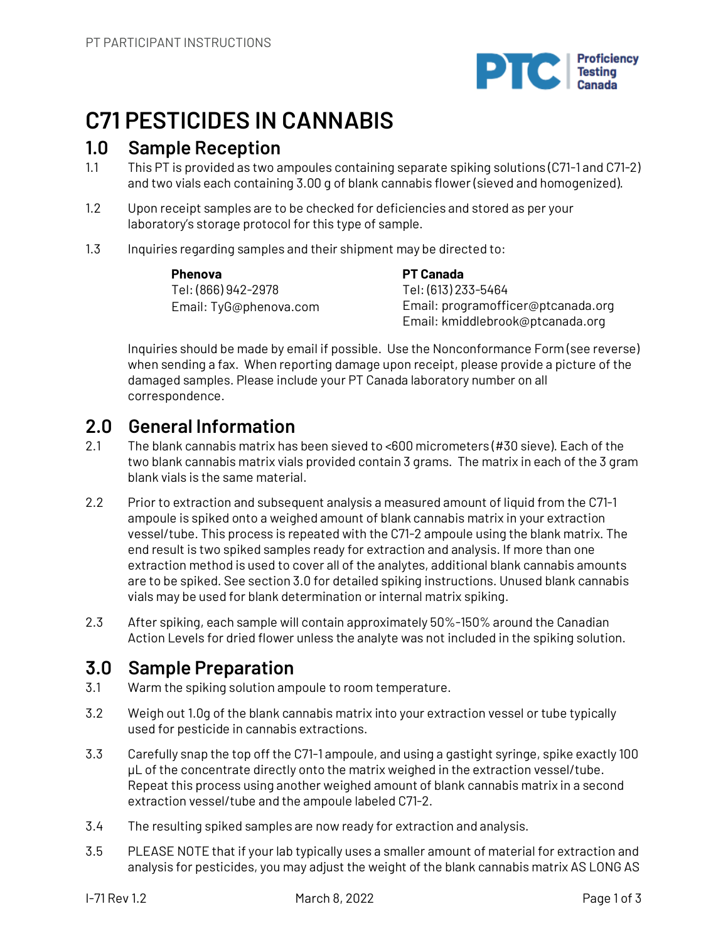

# **C71 PESTICIDES IN CANNABIS**

### **1.0 Sample Reception**

- 1.1 This PT is provided as two ampoules containing separate spiking solutions (C71-1 and C71-2) and two vials each containing 3.00 g of blank cannabis flower (sieved and homogenized).
- 1.2 Upon receipt samples are to be checked for deficiencies and stored as per your laboratory's storage protocol for this type of sample.
- 1.3 Inquiries regarding samples and their shipment may be directed to:

**Phenova** Tel: (866) 942-2978 Email: TyG@phenova.com **PT Canada** Tel: (613) 233-5464 Email: programofficer@ptcanada.org Email: kmiddlebrook@ptcanada.org

Inquiries should be made by email if possible. Use the Nonconformance Form (see reverse) when sending a fax. When reporting damage upon receipt, please provide a picture of the damaged samples. Please include your PT Canada laboratory number on all correspondence.

# **2.0 General Information**

- 2.1 The blank cannabis matrix has been sieved to <600 micrometers (#30 sieve). Each of the two blank cannabis matrix vials provided contain 3 grams. The matrix in each of the 3 gram blank vials is the same material.
- 2.2 Prior to extraction and subsequent analysis a measured amount of liquid from the C71-1 ampoule is spiked onto a weighed amount of blank cannabis matrix in your extraction vessel/tube. This process is repeated with the C71-2 ampoule using the blank matrix. The end result is two spiked samples ready for extraction and analysis. If more than one extraction method is used to cover all of the analytes, additional blank cannabis amounts are to be spiked. See section 3.0 for detailed spiking instructions. Unused blank cannabis vials may be used for blank determination or internal matrix spiking.
- 2.3 After spiking, each sample will contain approximately 50%-150% around the Canadian Action Levels for dried flower unless the analyte was not included in the spiking solution.

# **3.0 Sample Preparation**

- 3.1 Warm the spiking solution ampoule to room temperature.
- 3.2 Weigh out 1.0g of the blank cannabis matrix into your extraction vessel or tube typically used for pesticide in cannabis extractions.
- 3.3 Carefully snap the top off the C71-1 ampoule, and using a gastight syringe, spike exactly 100 µL of the concentrate directly onto the matrix weighed in the extraction vessel/tube. Repeat this process using another weighed amount of blank cannabis matrix in a second extraction vessel/tube and the ampoule labeled C71-2.
- 3.4 The resulting spiked samples are now ready for extraction and analysis.
- 3.5 PLEASE NOTE that if your lab typically uses a smaller amount of material for extraction and analysis for pesticides, you may adjust the weight of the blank cannabis matrix AS LONG AS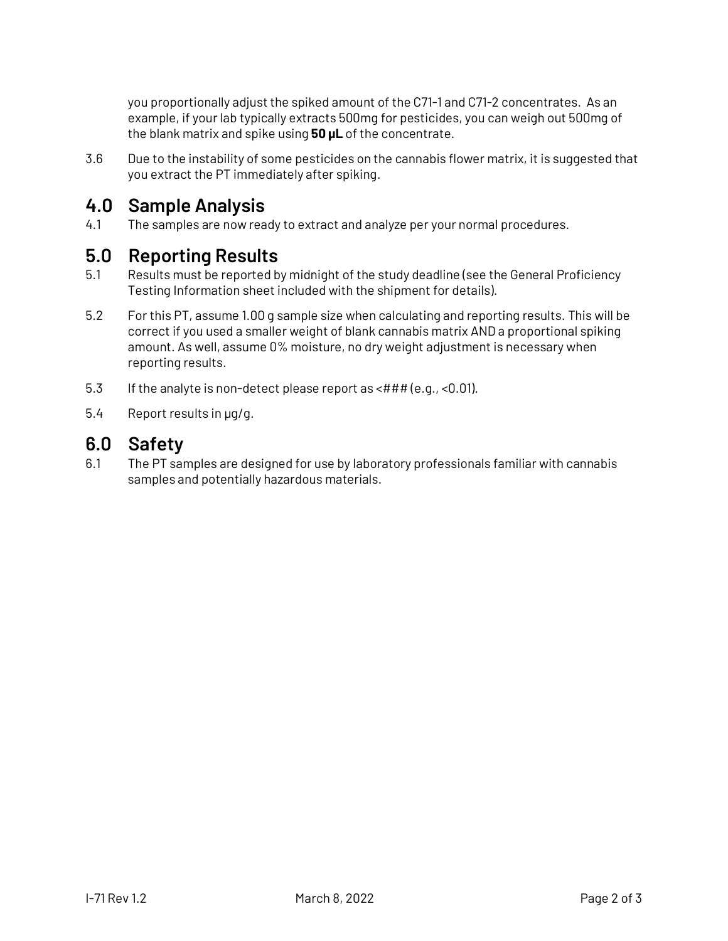you proportionally adjust the spiked amount of the C71-1 and C71-2 concentrates. As an example, if your lab typically extracts 500mg for pesticides, you can weigh out 500mg of the blank matrix and spike using **50 µL** of the concentrate.

3.6 Due to the instability of some pesticides on the cannabis flower matrix, it is suggested that you extract the PT immediately after spiking.

# **4.0 Sample Analysis**

4.1 The samples are now ready to extract and analyze per your normal procedures.

# **5.0 Reporting Results**

- 5.1 Results must be reported by midnight of the study deadline (see the General Proficiency Testing Information sheet included with the shipment for details).
- 5.2 For this PT, assume 1.00 g sample size when calculating and reporting results. This will be correct if you used a smaller weight of blank cannabis matrix AND a proportional spiking amount. As well, assume 0% moisture, no dry weight adjustment is necessary when reporting results.
- 5.3 If the analyte is non-detect please report as <### (e.g., <0.01).
- 5.4 Report results in µg/g.

## **6.0 Safety**

6.1 The PT samples are designed for use by laboratory professionals familiar with cannabis samples and potentially hazardous materials.